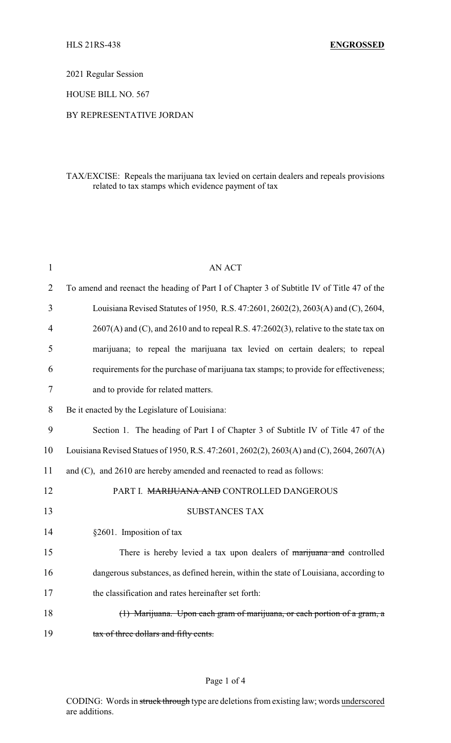2021 Regular Session

HOUSE BILL NO. 567

## BY REPRESENTATIVE JORDAN

# TAX/EXCISE: Repeals the marijuana tax levied on certain dealers and repeals provisions related to tax stamps which evidence payment of tax

| $\mathbf{1}$   | <b>AN ACT</b>                                                                                |
|----------------|----------------------------------------------------------------------------------------------|
| $\overline{2}$ | To amend and reenact the heading of Part I of Chapter 3 of Subtitle IV of Title 47 of the    |
| 3              | Louisiana Revised Statutes of 1950, R.S. 47:2601, 2602(2), 2603(A) and (C), 2604,            |
| 4              | $2607(A)$ and (C), and $2610$ and to repeal R.S. $47:2602(3)$ , relative to the state tax on |
| 5              | marijuana; to repeal the marijuana tax levied on certain dealers; to repeal                  |
| 6              | requirements for the purchase of marijuana tax stamps; to provide for effectiveness;         |
| 7              | and to provide for related matters.                                                          |
| 8              | Be it enacted by the Legislature of Louisiana:                                               |
| 9              | Section 1. The heading of Part I of Chapter 3 of Subtitle IV of Title 47 of the              |
| 10             | Louisiana Revised Statues of 1950, R.S. 47:2601, 2602(2), 2603(A) and (C), 2604, 2607(A)     |
| 11             | and (C), and 2610 are hereby amended and reenacted to read as follows:                       |
| 12             | PART I. MARIJUANA AND CONTROLLED DANGEROUS                                                   |
| 13             | <b>SUBSTANCES TAX</b>                                                                        |
| 14             | §2601. Imposition of tax                                                                     |
| 15             | There is hereby levied a tax upon dealers of marijuana and controlled                        |
| 16             | dangerous substances, as defined herein, within the state of Louisiana, according to         |
| 17             | the classification and rates hereinafter set forth:                                          |
| 18             | (1) Marijuana. Upon each gram of marijuana, or each portion of a gram, a                     |
| 19             | tax of three dollars and fifty cents.                                                        |

### Page 1 of 4

CODING: Words in struck through type are deletions from existing law; words underscored are additions.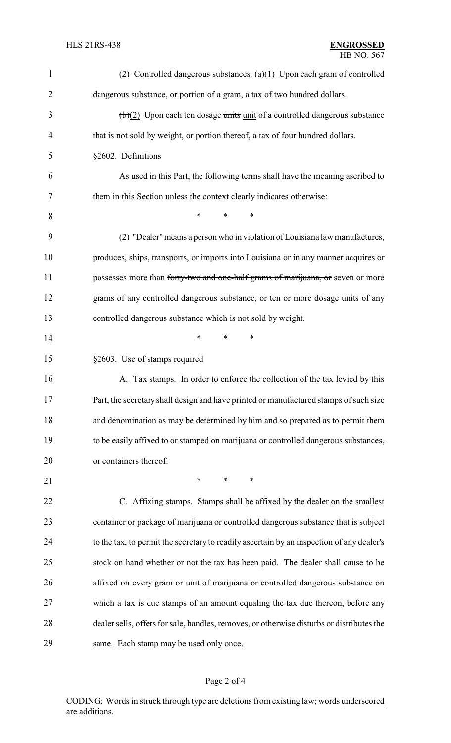| $\mathbf{1}$   | $(2)$ Controlled dangerous substances. $(a)(1)$ Upon each gram of controlled                   |
|----------------|------------------------------------------------------------------------------------------------|
| $\overline{2}$ | dangerous substance, or portion of a gram, a tax of two hundred dollars.                       |
| 3              | $\left(\frac{b}{2}\right)$ Upon each ten dosage units unit of a controlled dangerous substance |
| 4              | that is not sold by weight, or portion thereof, a tax of four hundred dollars.                 |
| 5              | §2602. Definitions                                                                             |
| 6              | As used in this Part, the following terms shall have the meaning ascribed to                   |
| 7              | them in this Section unless the context clearly indicates otherwise:                           |
| 8              | $\ast$<br>*<br>*                                                                               |
| 9              | (2) "Dealer" means a person who in violation of Louisiana law manufactures,                    |
| 10             | produces, ships, transports, or imports into Louisiana or in any manner acquires or            |
| 11             | possesses more than forty-two and one-half grams of marijuana, or seven or more                |
| 12             | grams of any controlled dangerous substance, or ten or more dosage units of any                |
| 13             | controlled dangerous substance which is not sold by weight.                                    |
| 14             | *<br>*<br>*                                                                                    |
| 15             | §2603. Use of stamps required                                                                  |
| 16             | A. Tax stamps. In order to enforce the collection of the tax levied by this                    |
| 17             | Part, the secretary shall design and have printed or manufactured stamps of such size          |
| 18             | and denomination as may be determined by him and so prepared as to permit them                 |
| 19             | to be easily affixed to or stamped on marijuana or controlled dangerous substances,            |
| 20             | or containers thereof.                                                                         |
| 21             | $\ast$<br>$\ast$<br>*                                                                          |
| 22             | C. Affixing stamps. Stamps shall be affixed by the dealer on the smallest                      |
| 23             | container or package of marijuana or controlled dangerous substance that is subject            |
| 24             | to the tax, to permit the secretary to readily ascertain by an inspection of any dealer's      |
| 25             | stock on hand whether or not the tax has been paid. The dealer shall cause to be               |
| 26             | affixed on every gram or unit of marijuana or controlled dangerous substance on                |
| 27             | which a tax is due stamps of an amount equaling the tax due thereon, before any                |
| 28             | dealer sells, offers for sale, handles, removes, or otherwise disturbs or distributes the      |
| 29             | same. Each stamp may be used only once.                                                        |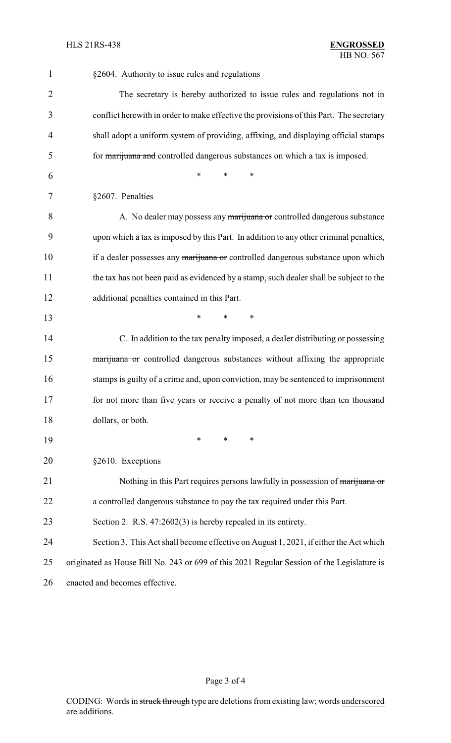| $\mathbf{1}$ | §2604. Authority to issue rules and regulations                                            |
|--------------|--------------------------------------------------------------------------------------------|
| 2            | The secretary is hereby authorized to issue rules and regulations not in                   |
| 3            | conflict herewith in order to make effective the provisions of this Part. The secretary    |
| 4            | shall adopt a uniform system of providing, affixing, and displaying official stamps        |
| 5            | for <i>marijuana</i> and controlled dangerous substances on which a tax is imposed.        |
| 6            | *<br>*<br>$\ast$                                                                           |
| 7            | §2607. Penalties                                                                           |
| 8            | A. No dealer may possess any marijuana or controlled dangerous substance                   |
| 9            | upon which a tax is imposed by this Part. In addition to any other criminal penalties,     |
| 10           | if a dealer possesses any marijuana or controlled dangerous substance upon which           |
| 11           | the tax has not been paid as evidenced by a stamp, such dealer shall be subject to the     |
| 12           | additional penalties contained in this Part.                                               |
| 13           | $\ast$<br>*<br>*                                                                           |
| 14           | C. In addition to the tax penalty imposed, a dealer distributing or possessing             |
| 15           | marijuana or controlled dangerous substances without affixing the appropriate              |
| 16           | stamps is guilty of a crime and, upon conviction, may be sentenced to imprisonment         |
| 17           | for not more than five years or receive a penalty of not more than ten thousand            |
| 18           | dollars, or both.                                                                          |
| 19           | *<br>*<br>$\ast$                                                                           |
| 20           | §2610. Exceptions                                                                          |
| 21           | Nothing in this Part requires persons lawfully in possession of marijuana or               |
| 22           | a controlled dangerous substance to pay the tax required under this Part.                  |
| 23           | Section 2. R.S. $47:2602(3)$ is hereby repealed in its entirety.                           |
| 24           | Section 3. This Act shall become effective on August 1, 2021, if either the Act which      |
| 25           | originated as House Bill No. 243 or 699 of this 2021 Regular Session of the Legislature is |
| 26           | enacted and becomes effective.                                                             |